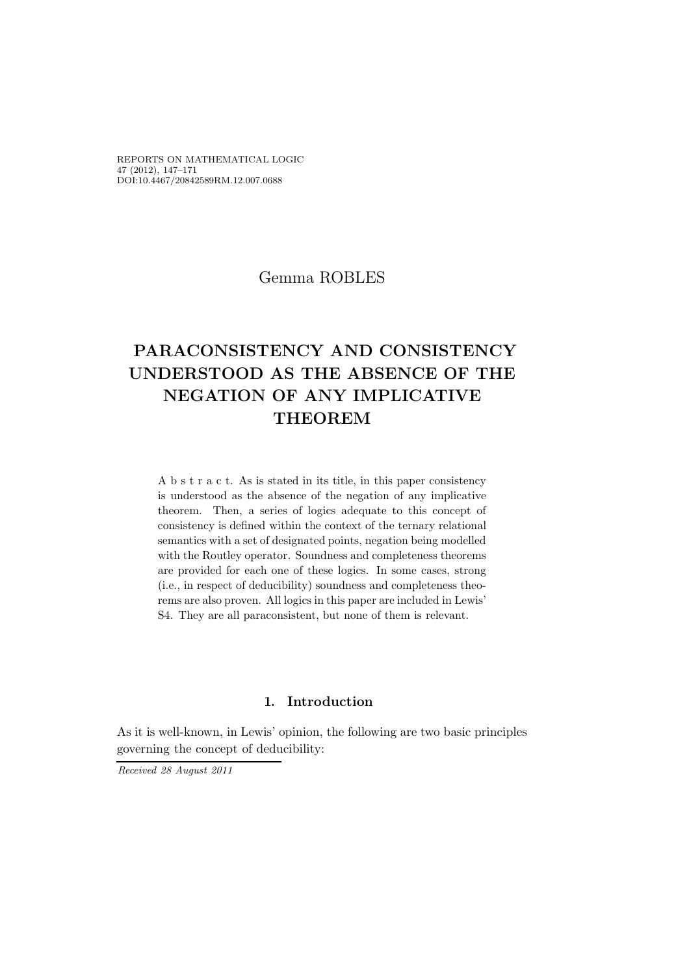REPORTS ON MATHEMATICAL LOGIC 47 (2012), 147–171 DOI:10.4467/20842589RM.12.007.0688

# Gemma ROBLES

# PARACONSISTENCY AND CONSISTENCY UNDERSTOOD AS THE ABSENCE OF THE NEGATION OF ANY IMPLICATIVE THEOREM

A b s t r a c t. As is stated in its title, in this paper consistency is understood as the absence of the negation of any implicative theorem. Then, a series of logics adequate to this concept of consistency is defined within the context of the ternary relational semantics with a set of designated points, negation being modelled with the Routley operator. Soundness and completeness theorems are provided for each one of these logics. In some cases, strong (i.e., in respect of deducibility) soundness and completeness theorems are also proven. All logics in this paper are included in Lewis' S4. They are all paraconsistent, but none of them is relevant.

# .1 Introduction

As it is well-known, in Lewis' opinion, the following are two basic principles governing the concept of deducibility:

Received 28 August 2011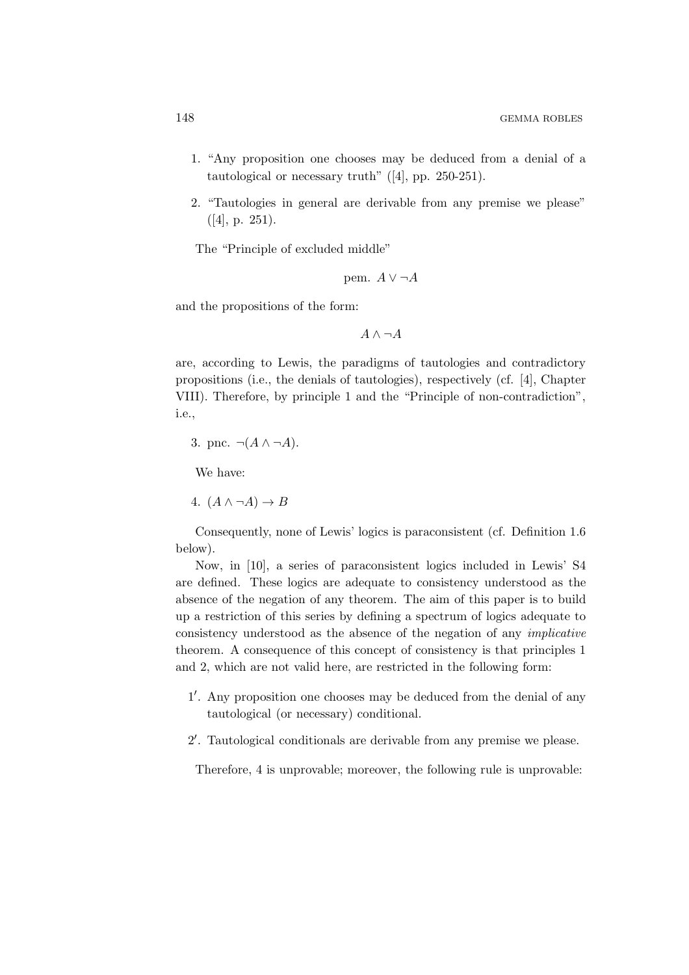- 1. "Any proposition one chooses may be deduced from a denial of a tautological or necessary truth"  $([4], pp. 250-251)$ .
- 2. "Tautologies in general are derivable from any premise we please" ([4], p. 251).

The "Principle of excluded middle"

pem. 
$$
A \vee \neg A
$$

and the propositions of the form:

 $A \wedge \neg A$ 

are, according to Lewis, the paradigms of tautologies and contradictory propositions (i.e., the denials of tautologies), respectively (cf. [4], Chapter VIII). Therefore, by principle 1 and the "Principle of non-contradiction", i.e.,

3. pnc. 
$$
\neg(A \land \neg A)
$$
.

We have:

4. 
$$
(A \land \neg A) \to B
$$

Consequently, none of Lewis' logics is paraconsistent (cf. Definition 1.6 below).

Now, in [10], a series of paraconsistent logics included in Lewis' S4 are defined. These logics are adequate to consistency understood as the absence of the negation of any theorem. The aim of this paper is to build up a restriction of this series by defining a spectrum of logics adequate to consistency understood as the absence of the negation of any implicative theorem. A consequence of this concept of consistency is that principles 1 and 2, which are not valid here, are restricted in the following form:

- 1 ′ . Any proposition one chooses may be deduced from the denial of any tautological (or necessary) conditional.
- 2 ′ . Tautological conditionals are derivable from any premise we please.

Therefore, 4 is unprovable; moreover, the following rule is unprovable: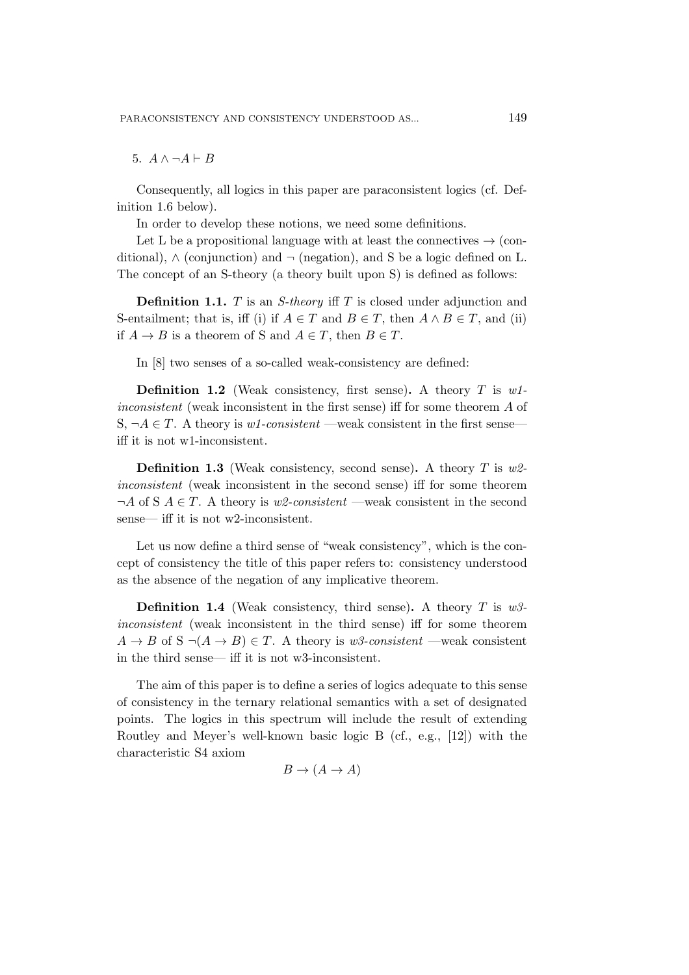5.  $A \wedge \neg A \vdash B$ 

Consequently, all logics in this paper are paraconsistent logics (cf. Definition 1.6 below).

In order to develop these notions, we need some definitions.

Let L be a propositional language with at least the connectives  $\rightarrow$  (conditional),  $\wedge$  (conjunction) and  $\neg$  (negation), and S be a logic defined on L. The concept of an S-theory (a theory built upon S) is defined as follows:

**Definition 1.1.** T is an *S*-theory iff T is closed under adjunction and S-entailment; that is, iff (i) if  $A \in T$  and  $B \in T$ , then  $A \wedge B \in T$ , and (ii) if  $A \to B$  is a theorem of S and  $A \in T$ , then  $B \in T$ .

In [8] two senses of a so-called weak-consistency are defined:

**Definition 1.2** (Weak consistency, first sense). A theory  $T$  is w1inconsistent (weak inconsistent in the first sense) iff for some theorem A of S,  $\neg A \in T$ . A theory is w1-consistent —weak consistent in the first sense iff it is not w1-inconsistent.

**Definition 1.3** (Weak consistency, second sense). A theory T is  $w^2$ inconsistent (weak inconsistent in the second sense) iff for some theorem  $\neg A$  of S  $A \in T$ . A theory is w2-consistent —weak consistent in the second sense— iff it is not w2-inconsistent.

Let us now define a third sense of "weak consistency", which is the concept of consistency the title of this paper refers to: consistency understood as the absence of the negation of any implicative theorem.

**Definition 1.4** (Weak consistency, third sense). A theory T is  $w3$ inconsistent (weak inconsistent in the third sense) iff for some theorem  $A \rightarrow B$  of  $S \neg (A \rightarrow B) \in T$ . A theory is w<sub>3</sub>-consistent —weak consistent in the third sense— iff it is not w3-inconsistent.

The aim of this paper is to define a series of logics adequate to this sense of consistency in the ternary relational semantics with a set of designated points. The logics in this spectrum will include the result of extending Routley and Meyer's well-known basic logic B (cf., e.g., [12]) with the characteristic S4 axiom

$$
B \to (A \to A)
$$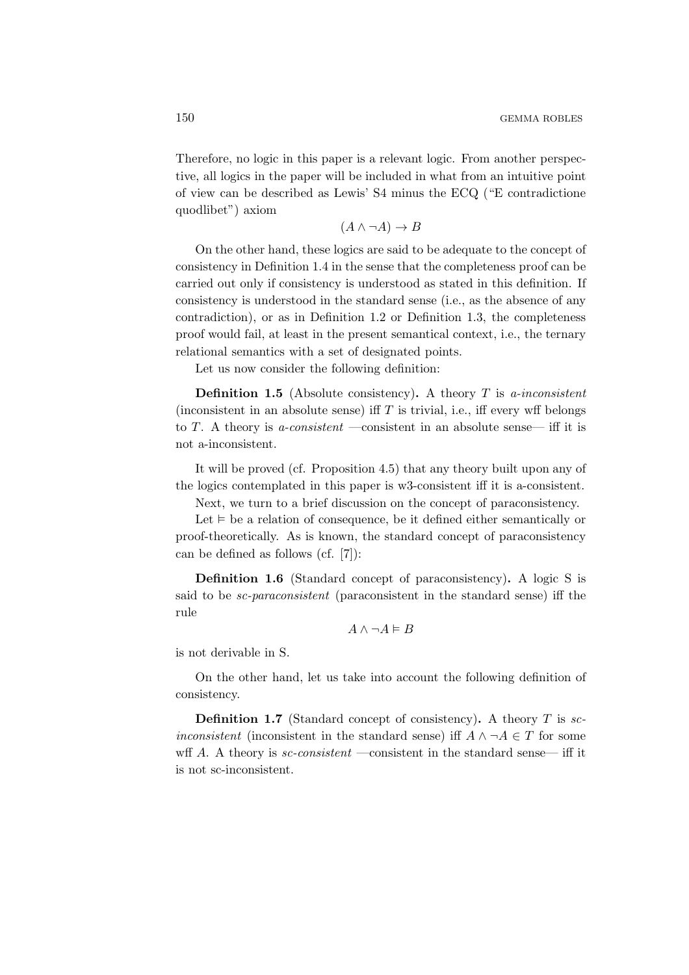Therefore, no logic in this paper is a relevant logic. From another perspective, all logics in the paper will be included in what from an intuitive point of view can be described as Lewis' S4 minus the ECQ ("E contradictione quodlibet") axiom

$$
(A \land \neg A) \to B
$$

On the other hand, these logics are said to be adequate to the concept of consistency in Definition 1.4 in the sense that the completeness proof can be carried out only if consistency is understood as stated in this definition. If consistency is understood in the standard sense (i.e., as the absence of any contradiction), or as in Definition 1.2 or Definition 1.3, the completeness proof would fail, at least in the present semantical context, i.e., the ternary relational semantics with a set of designated points.

Let us now consider the following definition:

**Definition 1.5** (Absolute consistency). A theory  $T$  is a-inconsistent (inconsistent in an absolute sense) iff  $T$  is trivial, i.e., iff every wff belongs to T. A theory is *a-consistent* —consistent in an absolute sense— iff it is not a-inconsistent.

It will be proved (cf. Proposition 4.5) that any theory built upon any of the logics contemplated in this paper is w3-consistent iff it is a-consistent.

Next, we turn to a brief discussion on the concept of paraconsistency.

Let  $\models$  be a relation of consequence, be it defined either semantically or proof-theoretically. As is known, the standard concept of paraconsistency can be defined as follows (cf. [7]):

Definition 1.6 (Standard concept of paraconsistency). A logic S is said to be sc-paraconsistent (paraconsistent in the standard sense) iff the rule

$$
A \land \neg A \vDash B
$$

is not derivable in S.

On the other hand, let us take into account the following definition of consistency.

**Definition 1.7** (Standard concept of consistency). A theory  $T$  is sc*inconsistent* (inconsistent in the standard sense) iff  $A \land \neg A \in T$  for some wff A. A theory is  $sc-consistent$  —consistent in the standard sense— iff it is not sc-inconsistent.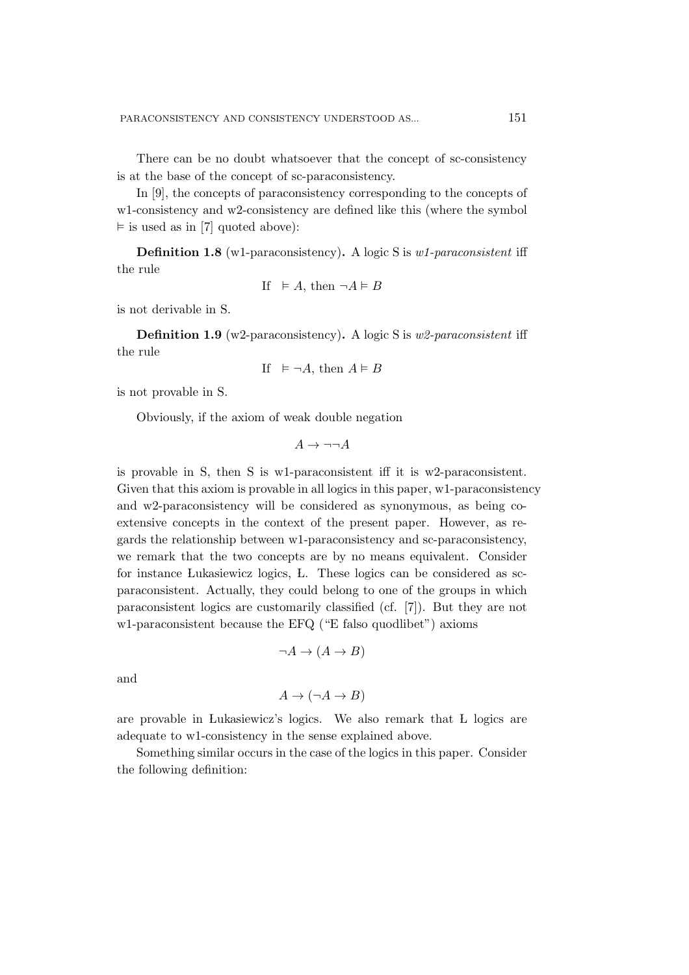There can be no doubt whatsoever that the concept of sc-consistency is at the base of the concept of sc-paraconsistency.

In [9], the concepts of paraconsistency corresponding to the concepts of w1-consistency and w2-consistency are defined like this (where the symbol  $\vDash$  is used as in [7] quoted above):

Definition 1.8 (w1-paraconsistency). A logic S is w1-paraconsistent iff the rule

If 
$$
\vDash A
$$
, then  $\neg A \vDash B$ 

is not derivable in S.

Definition 1.9 (w2-paraconsistency). A logic S is w2-paraconsistent iff the rule

If 
$$
\vDash \neg A
$$
, then  $A \vDash B$ 

is not provable in S.

Obviously, if the axiom of weak double negation

 $A \rightarrow \neg\neg A$ 

is provable in S, then S is w1-paraconsistent iff it is w2-paraconsistent. Given that this axiom is provable in all logics in this paper, w1-paraconsistency and w2-paraconsistency will be considered as synonymous, as being coextensive concepts in the context of the present paper. However, as regards the relationship between w1-paraconsistency and sc-paraconsistency, we remark that the two concepts are by no means equivalent. Consider for instance Lukasiewicz logics, L. These logics can be considered as scparaconsistent. Actually, they could belong to one of the groups in which paraconsistent logics are customarily classified (cf. [7]). But they are not w1-paraconsistent because the EFQ ("E falso quodlibet") axioms

$$
\neg A \to (A \to B)
$$

and

$$
A \to (\neg A \to B)
$$

are provable in Lukasiewicz's logics. We also remark that L logics are adequate to w1-consistency in the sense explained above.

Something similar occurs in the case of the logics in this paper. Consider the following definition: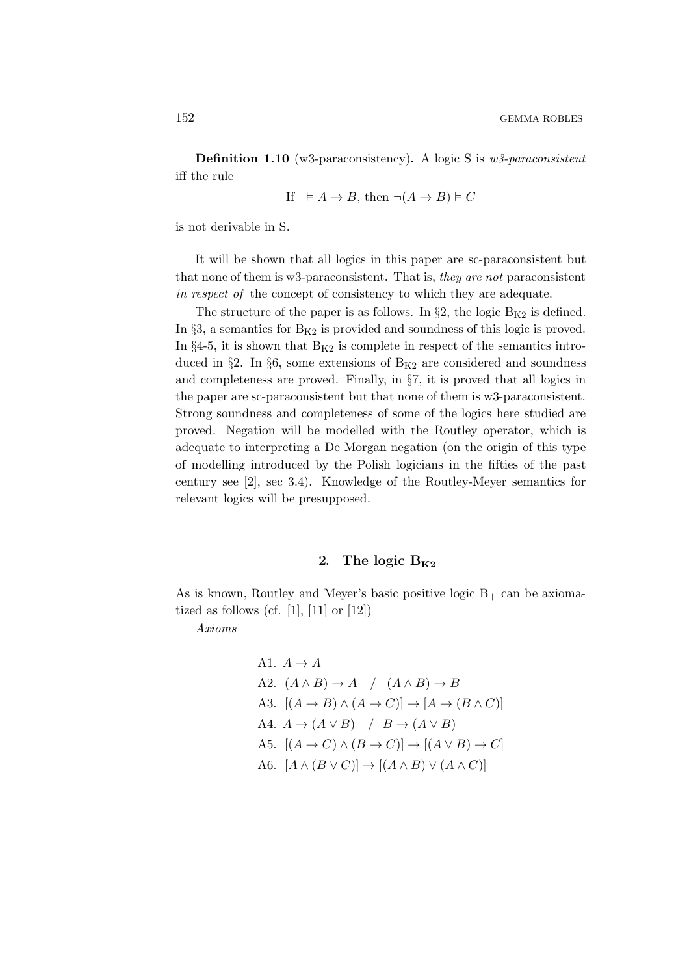Definition 1.10 (w3-paraconsistency). A logic S is w3-paraconsistent iff the rule

$$
\text{If} \quad \vDash A \to B \text{, then } \neg(A \to B) \vDash C
$$

is not derivable in S.

It will be shown that all logics in this paper are sc-paraconsistent but that none of them is w3-paraconsistent. That is, they are not paraconsistent in respect of the concept of consistency to which they are adequate.

The structure of the paper is as follows. In  $\S 2$ , the logic  $B_{K2}$  is defined. In  $\S3$ , a semantics for  $B_{K2}$  is provided and soundness of this logic is proved. In  $\S 4-5$ , it is shown that  $B_{K2}$  is complete in respect of the semantics introduced in §2. In §6, some extensions of  $B_{K2}$  are considered and soundness and completeness are proved. Finally, in §7, it is proved that all logics in the paper are sc-paraconsistent but that none of them is w3-paraconsistent. Strong soundness and completeness of some of the logics here studied are proved. Negation will be modelled with the Routley operator, which is adequate to interpreting a De Morgan negation (on the origin of this type of modelling introduced by the Polish logicians in the fifties of the past century see [2], sec 3.4). Knowledge of the Routley-Meyer semantics for relevant logics will be presupposed.

## 2. The logic  $B_{K2}$

As is known, Routley and Meyer's basic positive logic  $B_+$  can be axiomatized as follows (cf.  $[1]$ ,  $[11]$  or  $[12]$ )

Axioms

A1. 
$$
A \rightarrow A
$$
  
\nA2.  $(A \land B) \rightarrow A$  /  $(A \land B) \rightarrow B$   
\nA3.  $[(A \rightarrow B) \land (A \rightarrow C)] \rightarrow [A \rightarrow (B \land C)]$   
\nA4.  $A \rightarrow (A \lor B)$  /  $B \rightarrow (A \lor B)$   
\nA5.  $[(A \rightarrow C) \land (B \rightarrow C)] \rightarrow [(A \lor B) \rightarrow C]$   
\nA6.  $[A \land (B \lor C)] \rightarrow [(A \land B) \lor (A \land C)]$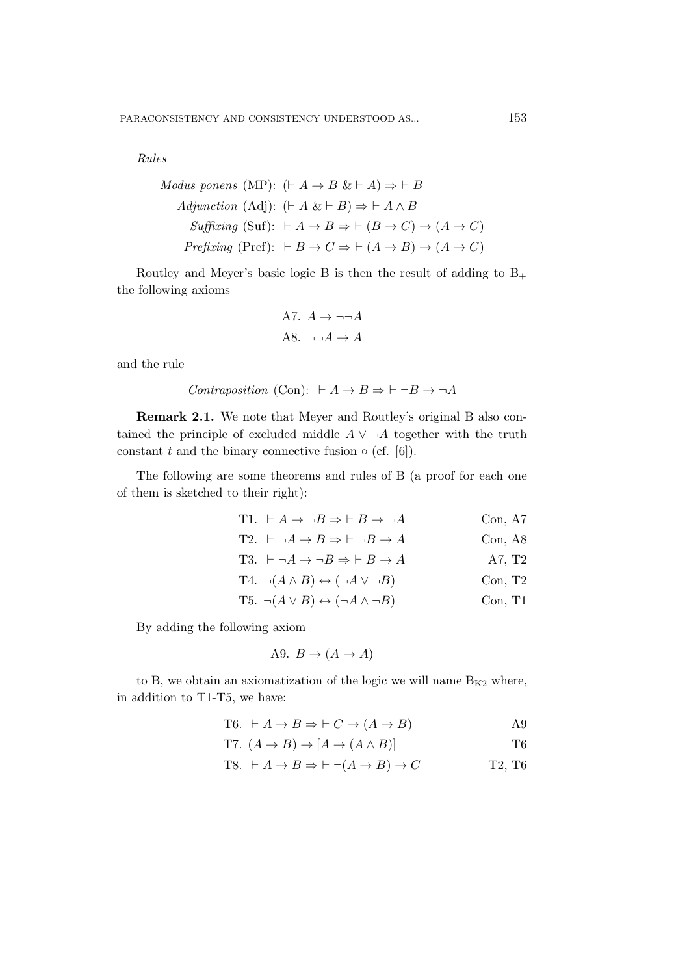Rules

Modus ponens (MP): 
$$
(\vdash A \to B \& \vdash A) \Rightarrow \vdash B
$$

\nAdjunction (Adj):  $(\vdash A \& \vdash B) \Rightarrow \vdash A \land B$ 

\nSuffixing (Suf):  $\vdash A \to B \Rightarrow \vdash (B \to C) \to (A \to C)$ 

\nPrefixing (Pref):  $\vdash B \to C \Rightarrow \vdash (A \to B) \to (A \to C)$ 

Routley and Meyer's basic logic B is then the result of adding to  $B_+$ the following axioms

A7. 
$$
A \rightarrow \neg\neg A
$$
  
A8.  $\neg\neg A \rightarrow A$ 

and the rule

*Contraposition* (Con): 
$$
\vdash A \rightarrow B \Rightarrow \vdash \neg B \rightarrow \neg A
$$

Remark 2.1. We note that Meyer and Routley's original B also contained the principle of excluded middle  $A \vee \neg A$  together with the truth constant t and the binary connective fusion  $\circ$  (cf. [6]).

The following are some theorems and rules of B (a proof for each one of them is sketched to their right):

| T1. $\vdash A \rightarrow \neg B \Rightarrow \vdash B \rightarrow \neg A$ | Con, A7  |
|---------------------------------------------------------------------------|----------|
| T2. $\vdash \neg A \rightarrow B \Rightarrow \vdash \neg B \rightarrow A$ | Con, A8  |
| T3. $\vdash \neg A \rightarrow \neg B \Rightarrow \vdash B \rightarrow A$ | A7, $T2$ |
| $T4. \neg (A \land B) \leftrightarrow (\neg A \lor \neg B)$               | Con, T2  |
| $\mathbf{m}$ $(4, \mathbf{m})$ $(4, \mathbf{m})$                          | T11      |

$$
T5. \neg(A \lor B) \leftrightarrow (\neg A \land \neg B) \qquad \text{Con, T1}
$$

By adding the following axiom

A9. 
$$
B \rightarrow (A \rightarrow A)
$$

to B, we obtain an axiomatization of the logic we will name  $B_{K2}$  where, in addition to T1-T5, we have:

T6. 
$$
\vdash A \to B \Rightarrow \vdash C \to (A \to B)
$$
 A9

T7.  $(A \rightarrow B) \rightarrow [A \rightarrow (A \wedge B)]$  T6

T8. 
$$
\vdash A \to B \Rightarrow \vdash \neg(A \to B) \to C
$$
 T2, T6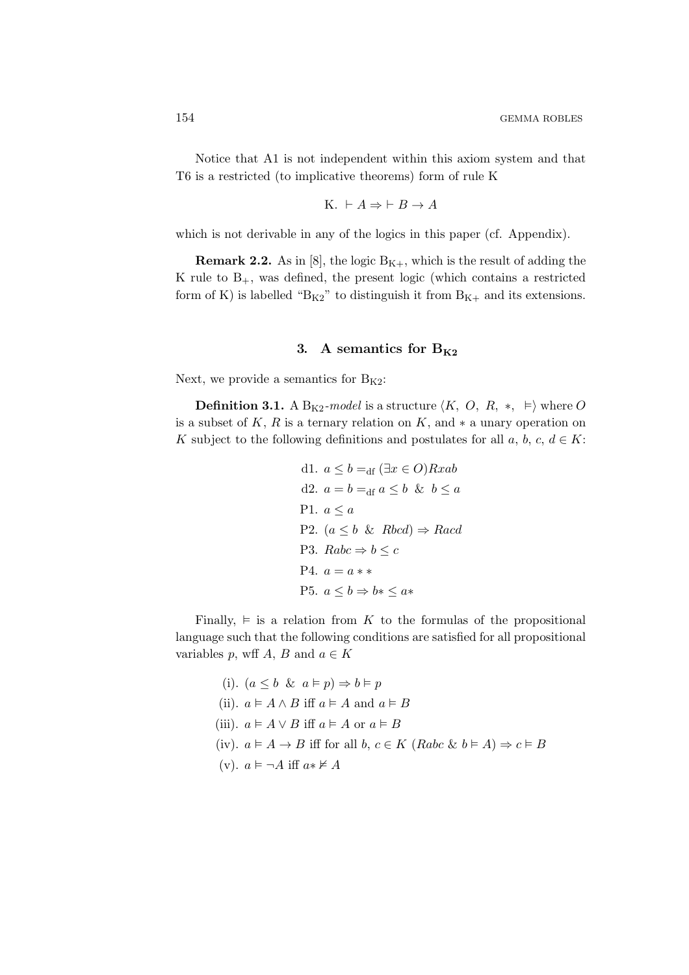Notice that A1 is not independent within this axiom system and that T6 is a restricted (to implicative theorems) form of rule K

K. 
$$
\vdash A \Rightarrow \vdash B \to A
$$

which is not derivable in any of the logics in this paper (cf. Appendix).

**Remark 2.2.** As in [8], the logic  $B_{K+}$ , which is the result of adding the K rule to  $B_{+}$ , was defined, the present logic (which contains a restricted form of K) is labelled " $B_{K2}$ " to distinguish it from  $B_{K+}$  and its extensions.

# 3. A semantics for  $B_{K2}$

Next, we provide a semantics for  $B_{K2}$ :

**Definition 3.1.** A B<sub>K2</sub>-model is a structure  $\langle K, O, R, * , \models \rangle$  where O is a subset of K, R is a ternary relation on K, and  $*$  a unary operation on K subject to the following definitions and postulates for all  $a, b, c, d \in K$ :

d1. 
$$
a \le b =_{df} (\exists x \in O) Rxab
$$
  
d2.  $a = b =_{df} a \le b \& b \le a$   
P1.  $a \le a$   
P2.  $(a \le b \& Rbcd) \Rightarrow Racd$   
P3.  $Rabc \Rightarrow b \le c$   
P4.  $a = a * *$   
P5.  $a \le b \Rightarrow b * \le a *$ 

Finally,  $\models$  is a relation from K to the formulas of the propositional language such that the following conditions are satisfied for all propositional variables p, wff A, B and  $a \in K$ 

- (i).  $(a \leq b \And a \models p) \Rightarrow b \models p$
- (ii).  $a \in A \wedge B$  iff  $a \in A$  and  $a \in B$
- (iii).  $a \models A \lor B$  iff  $a \models A$  or  $a \models B$
- (iv).  $a \models A \rightarrow B$  iff for all b,  $c \in K$  (Rabc & b  $\models A$ )  $\Rightarrow$   $c \models B$
- (v).  $a \models \neg A$  iff  $a * \not\models A$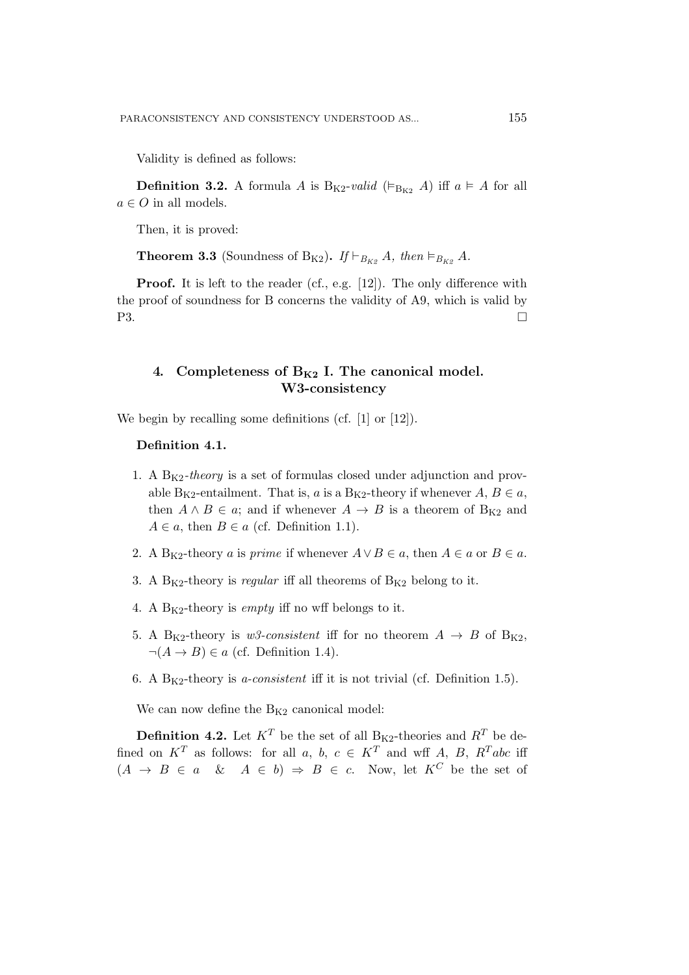Validity is defined as follows:

**Definition 3.2.** A formula A is  $B_{K2}$ -valid ( $\models_{B_{K2}} A$ ) iff  $a \models A$  for all  $a \in O$  in all models.

Then, it is proved:

**Theorem 3.3** (Soundness of B<sub>K2</sub>). If  $\vdash_{B_{K2}} A$ , then  $\models_{B_{K2}} A$ .

Proof. It is left to the reader (cf., e.g. [12]). The only difference with the proof of soundness for B concerns the validity of A9, which is valid by  $P3.$ 

# 4. Completeness of  $B_{K2}$  I. The canonical model. W3-consistency

We begin by recalling some definitions (cf. [1] or [12]).

#### Definition 4.1.

- 1. A  $B_{K2}$ -theory is a set of formulas closed under adjunction and provable B<sub>K2</sub>-entailment. That is, a is a B<sub>K2</sub>-theory if whenever  $A, B \in \mathfrak{a}$ , then  $A \wedge B \in \alpha$ ; and if whenever  $A \rightarrow B$  is a theorem of B<sub>K2</sub> and  $A \in \mathfrak{a}$ , then  $B \in \mathfrak{a}$  (cf. Definition 1.1).
- 2. A B<sub>K2</sub>-theory a is *prime* if whenever  $A \vee B \in \mathfrak{a}$ , then  $A \in \mathfrak{a}$  or  $B \in \mathfrak{a}$ .
- 3. A  $B_{K2}$ -theory is *regular* iff all theorems of  $B_{K2}$  belong to it.
- 4. A  $B_{K2}$ -theory is *empty* iff no wff belongs to it.
- 5. A B<sub>K2</sub>-theory is w<sub>3</sub>-consistent iff for no theorem  $A \rightarrow B$  of B<sub>K2</sub>,  $\neg(A \rightarrow B) \in a$  (cf. Definition 1.4).
- 6. A  $B_{K2}$ -theory is *a-consistent* iff it is not trivial (cf. Definition 1.5).

We can now define the  $B_{K2}$  canonical model:

**Definition 4.2.** Let  $K^T$  be the set of all  $B_{K2}$ -theories and  $R^T$  be defined on  $K^T$  as follows: for all a, b,  $c \in K^T$  and wff A, B,  $R^T abc$  iff  $(A \rightarrow B \in a \& A \in b) \Rightarrow B \in c$ . Now, let  $K^C$  be the set of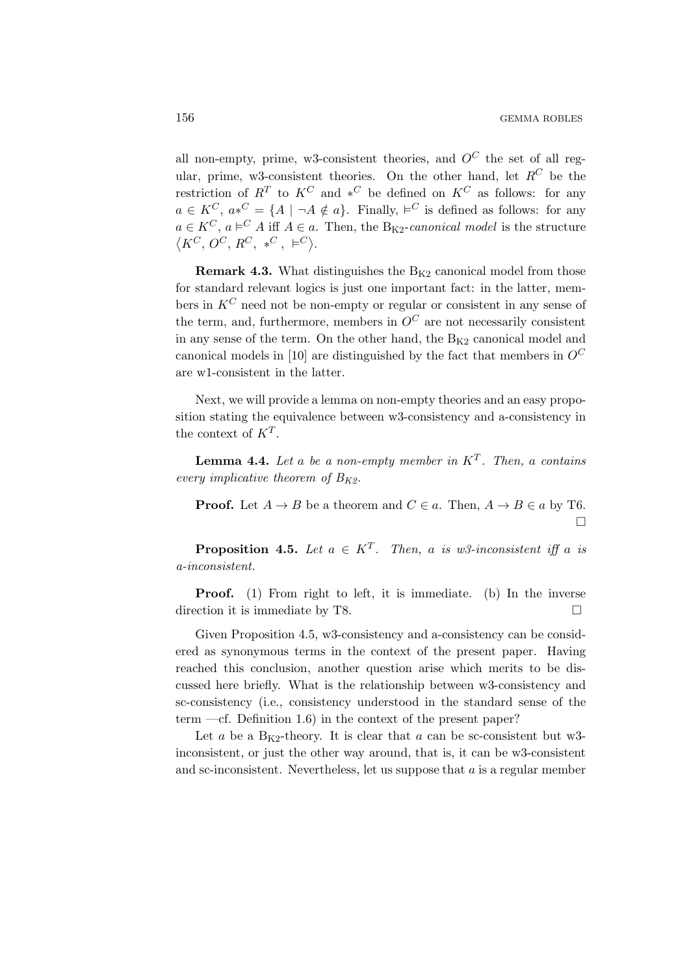all non-empty, prime, w3-consistent theories, and  $O^C$  the set of all regular, prime, w3-consistent theories. On the other hand, let  $R^C$  be the restriction of  $R^T$  to  $K^C$  and  $*^C$  be defined on  $K^C$  as follows: for any  $a \in K^C$ ,  $a*^C = \{A \mid \neg A \notin a\}$ . Finally,  $\vDash^C$  is defined as follows: for any  $a \in K^C$ ,  $a \models^C A$  iff  $A \in a$ . Then, the B<sub>K2</sub>-canonical model is the structure  $\langle K^C, O^C, R^C, *^C, \vDash^C \rangle.$ 

**Remark 4.3.** What distinguishes the  $B_{K2}$  canonical model from those for standard relevant logics is just one important fact: in the latter, members in  $K^C$  need not be non-empty or regular or consistent in any sense of the term, and, furthermore, members in  $O^C$  are not necessarily consistent in any sense of the term. On the other hand, the  $B_{K2}$  canonical model and canonical models in [10] are distinguished by the fact that members in  $O^C$ are w1-consistent in the latter.

Next, we will provide a lemma on non-empty theories and an easy proposition stating the equivalence between w3-consistency and a-consistency in the context of  $K^T$ .

**Lemma 4.4.** Let a be a non-empty member in  $K^T$ . Then, a contains every implicative theorem of  $B_{K2}$ .

**Proof.** Let  $A \to B$  be a theorem and  $C \in a$ . Then,  $A \to B \in a$  by T6.  $\Box$ 

**Proposition 4.5.** Let  $a \in K^T$ . Then, a is w3-inconsistent iff a is a-inconsistent.

Proof. (1) From right to left, it is immediate. (b) In the inverse direction it is immediate by T8.

Given Proposition 4.5, w3-consistency and a-consistency can be considered as synonymous terms in the context of the present paper. Having reached this conclusion, another question arise which merits to be discussed here briefly. What is the relationship between w3-consistency and sc-consistency (i.e., consistency understood in the standard sense of the term  $-cf.$  Definition 1.6) in the context of the present paper?

Let a be a  $B_{K2}$ -theory. It is clear that a can be sc-consistent but w3inconsistent, or just the other way around, that is, it can be w3-consistent and sc-inconsistent. Nevertheless, let us suppose that  $a$  is a regular member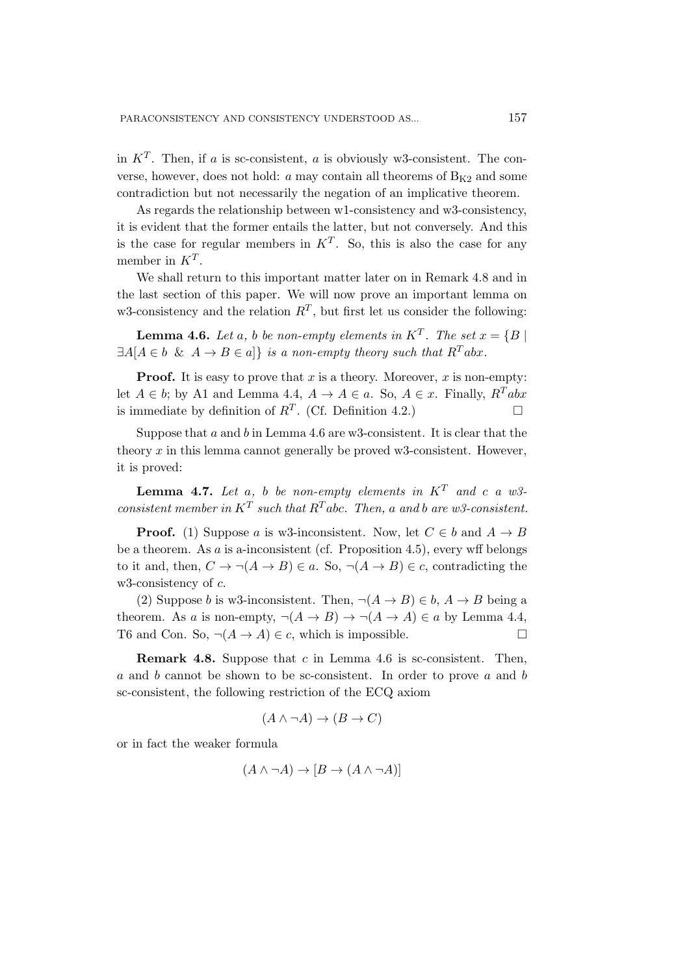in  $K^T$ . Then, if a is sc-consistent, a is obviously w3-consistent. The converse, however, does not hold:  $a$  may contain all theorems of  $B_{K2}$  and some contradiction but not necessarily the negation of an implicative theorem.

As regards the relationship between w1-consistency and w3-consistency, it is evident that the former entails the latter, but not conversely. And this is the case for regular members in  $K^T$ . So, this is also the case for any member in  $K^T$ .

We shall return to this important matter later on in Remark 4.8 and in the last section of this paper. We will now prove an important lemma on w3-consistency and the relation  $R^T$ , but first let us consider the following:

**Lemma 4.6.** Let a, b be non-empty elements in  $K^T$ . The set  $x = \{B \mid$  $\exists A[A \in b \& A \rightarrow B \in a]$  is a non-empty theory such that  $R^T abx$ .

**Proof.** It is easy to prove that x is a theory. Moreover, x is non-empty: let  $A \in b$ ; by A1 and Lemma 4.4,  $A \to A \in a$ . So,  $A \in x$ . Finally,  $R^T abx$ is immediate by definition of  $R^T$ . (Cf. Definition 4.2.)

Suppose that  $a$  and  $b$  in Lemma 4.6 are w3-consistent. It is clear that the theory x in this lemma cannot generally be proved w3-consistent. However, it is proved:

**Lemma 4.7.** Let a, b be non-empty elements in  $K^T$  and c a w3consistent member in  $K^T$  such that  $R^T$ abc. Then, a and b are w3-consistent.

**Proof.** (1) Suppose a is w3-inconsistent. Now, let  $C \in b$  and  $A \to B$ be a theorem. As  $\alpha$  is a-inconsistent (cf. Proposition 4.5), every wff belongs to it and, then,  $C \to \neg(A \to B) \in a$ . So,  $\neg(A \to B) \in c$ , contradicting the w3-consistency of  $c$ .

(2) Suppose b is w3-inconsistent. Then,  $\neg(A \rightarrow B) \in b$ ,  $A \rightarrow B$  being a theorem. As a is non-empty,  $\neg(A \rightarrow B) \rightarrow \neg(A \rightarrow A) \in a$  by Lemma 4.4, T6 and Con. So,  $\neg(A \rightarrow A) \in c$ , which is impossible.

**Remark 4.8.** Suppose that  $c$  in Lemma 4.6 is sc-consistent. Then, a and b cannot be shown to be sc-consistent. In order to prove a and b sc-consistent, the following restriction of the ECQ axiom

$$
(A \land \neg A) \to (B \to C)
$$

or in fact the weaker formula

$$
(A \land \neg A) \to [B \to (A \land \neg A)]
$$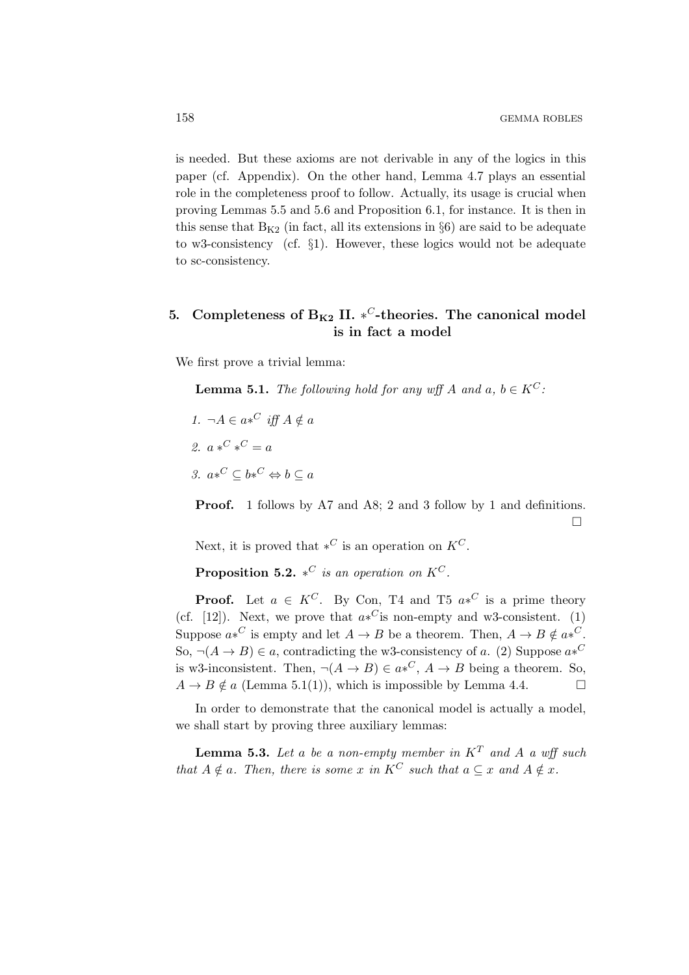is needed. But these axioms are not derivable in any of the logics in this paper (cf. Appendix). On the other hand, Lemma 4.7 plays an essential role in the completeness proof to follow. Actually, its usage is crucial when proving Lemmas 5.5 and 5.6 and Proposition 6.1, for instance. It is then in this sense that  $B_{K2}$  (in fact, all its extensions in §6) are said to be adequate to w3-consistency (cf. §1). However, these logics would not be adequate to sc-consistency.

# 5. Completeness of  $B_{K2}$  II. \*<sup>C</sup>-theories. The canonical model is in fact a model

We first prove a trivial lemma:

**Lemma 5.1.** The following hold for any wff A and a,  $b \in K^C$ :

- 1.  $\neg A \in a*^C$  iff  $A \notin a$
- 2.  $a *^C *^C = a$

3.  $a*^C \subseteq b*^C \Leftrightarrow b \subseteq a$ 

Proof. 1 follows by A7 and A8; 2 and 3 follow by 1 and definitions.  $\Box$ 

Next, it is proved that  $*^C$  is an operation on  $K^C$ .

**Proposition 5.2.** \*<sup>*C*</sup> is an operation on  $K^C$ .

**Proof.** Let  $a \in K^C$ . By Con, T4 and T5  $a *^C$  is a prime theory (cf. [12]). Next, we prove that  $a*^C$  is non-empty and w3-consistent. (1) Suppose  $a*^C$  is empty and let  $A \to B$  be a theorem. Then,  $A \to B \notin a*^C$ . So,  $\neg(A \rightarrow B) \in a$ , contradicting the w3-consistency of a. (2) Suppose  $a*^C$ is w3-inconsistent. Then,  $\neg(A \rightarrow B) \in a^{\ast}{}^C$ ,  $A \rightarrow B$  being a theorem. So,  $A \rightarrow B \notin a$  (Lemma 5.1(1)), which is impossible by Lemma 4.4.

In order to demonstrate that the canonical model is actually a model, we shall start by proving three auxiliary lemmas:

**Lemma 5.3.** Let a be a non-empty member in  $K^T$  and A a wff such that  $A \notin a$ . Then, there is some x in  $K^C$  such that  $a \subseteq x$  and  $A \notin x$ .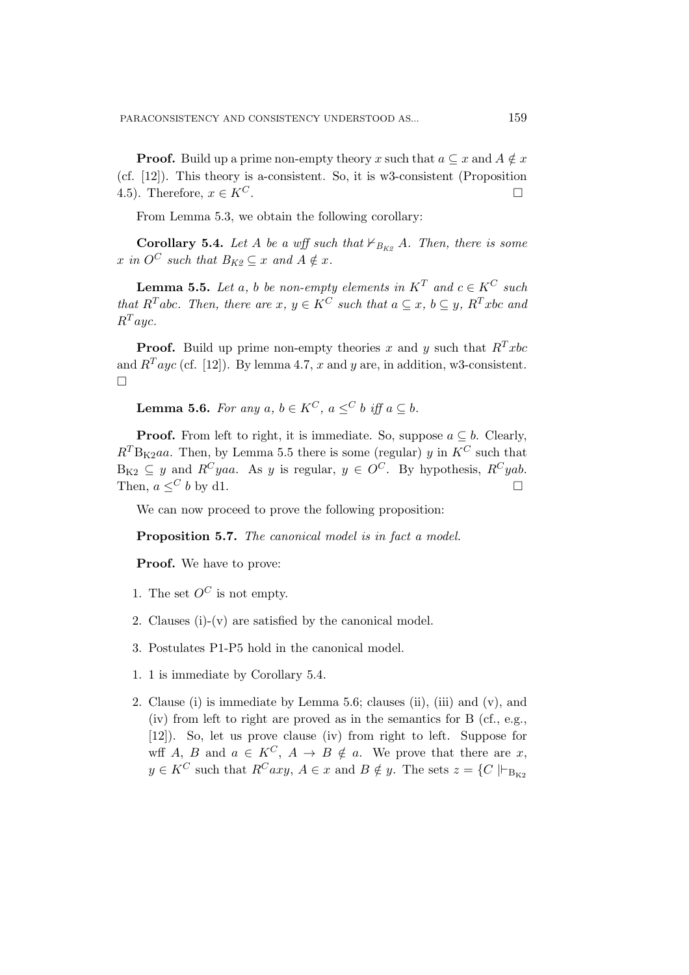**Proof.** Build up a prime non-empty theory x such that  $a \subseteq x$  and  $A \notin x$ (cf. [12]). This theory is a-consistent. So, it is w3-consistent (Proposition 4.5). Therefore,  $x \in K^C$ .

From Lemma 5.3, we obtain the following corollary:

**Corollary 5.4.** Let A be a wff such that  $\nvdash_{B_{K2}} A$ . Then, there is some x in  $O^C$  such that  $B_{K2} \subset x$  and  $A \notin x$ .

**Lemma 5.5.** Let a, b be non-empty elements in  $K^T$  and  $c \in K^C$  such that  $R^T$ abc. Then, there are  $x, y \in K^C$  such that  $a \subseteq x, b \subseteq y, R^T x$ bc and  $R^T$ auc.

**Proof.** Build up prime non-empty theories x and y such that  $R^T x b c$ and  $R^{T}$ ayc (cf. [12]). By lemma 4.7, x and y are, in addition, w3-consistent.  $\Box$ 

**Lemma 5.6.** For any a,  $b \in K^C$ ,  $a \leq b$  iff  $a \subseteq b$ .

**Proof.** From left to right, it is immediate. So, suppose  $a \subseteq b$ . Clearly,  $R<sup>T</sup>B<sub>K2</sub>aa$ . Then, by Lemma 5.5 there is some (regular) y in  $K<sup>C</sup>$  such that  $B_{K2} \subseteq y$  and  $R^C yaa$ . As y is regular,  $y \in O^C$ . By hypothesis,  $R^C yab$ . Then,  $a \leq^C b$  by d1.

We can now proceed to prove the following proposition:

Proposition 5.7. The canonical model is in fact a model.

Proof. We have to prove:

- 1. The set  $O^C$  is not empty.
- 2. Clauses (i)-(v) are satisfied by the canonical model.
- 3. Postulates P1-P5 hold in the canonical model.
- 1. 1 is immediate by Corollary 5.4.
- 2. Clause (i) is immediate by Lemma 5.6; clauses (ii), (iii) and (v), and (iv) from left to right are proved as in the semantics for B (cf., e.g., [12]). So, let us prove clause (iv) from right to left. Suppose for wff A, B and  $a \in K^C$ ,  $A \to B \notin a$ . We prove that there are x,  $y \in K^C$  such that  $R^Caxy$ ,  $A \in x$  and  $B \notin y$ . The sets  $z = \{C \mid \vdash_{\text{B}_{K2}}\}$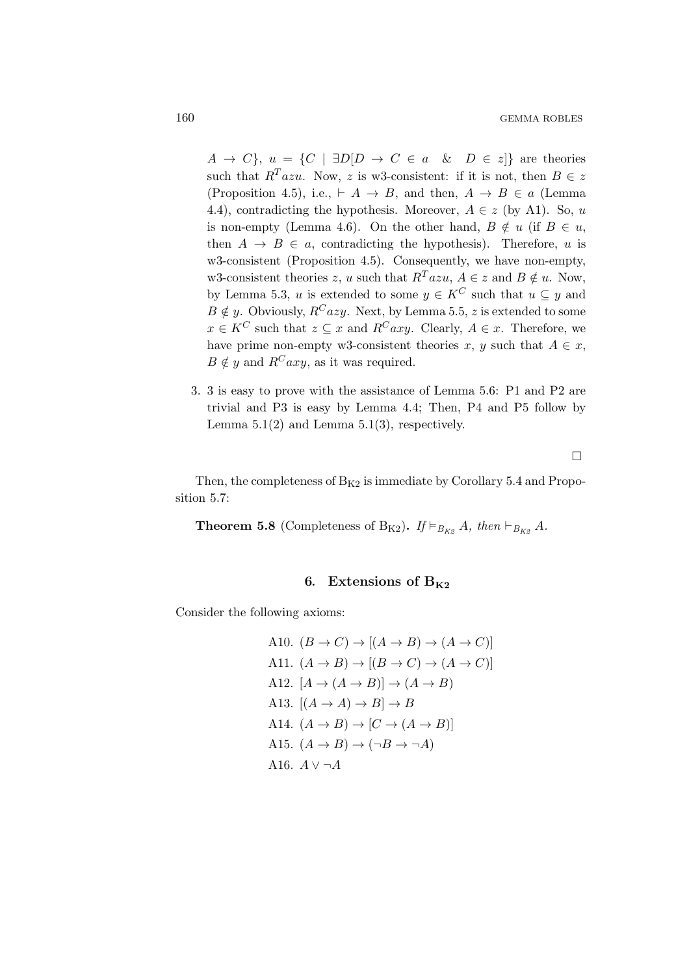$A \rightarrow C$ ,  $u = \{C \mid \exists D[D \rightarrow C \in a \& D \in z] \}$  are theories such that  $R^T a z u$ . Now, z is w3-consistent: if it is not, then  $B \in z$ (Proposition 4.5), i.e.,  $\vdash A \rightarrow B$ , and then,  $A \rightarrow B \in a$  (Lemma 4.4), contradicting the hypothesis. Moreover,  $A \in z$  (by A1). So, u is non-empty (Lemma 4.6). On the other hand,  $B \notin u$  (if  $B \in u$ , then  $A \rightarrow B \in a$ , contradicting the hypothesis). Therefore, u is w3-consistent (Proposition 4.5). Consequently, we have non-empty, w3-consistent theories z, u such that  $R^T a z u$ ,  $A \in z$  and  $B \notin u$ . Now, by Lemma 5.3, u is extended to some  $y \in K^C$  such that  $u \subseteq y$  and  $B \notin y$ . Obviously,  $R^C azy$ . Next, by Lemma 5.5, z is extended to some  $x \in K^C$  such that  $z \subseteq x$  and  $R^Caxy$ . Clearly,  $A \in x$ . Therefore, we have prime non-empty w3-consistent theories x, y such that  $A \in x$ ,  $B \notin y$  and  $R^Caxy$ , as it was required.

3. 3 is easy to prove with the assistance of Lemma 5.6: P1 and P2 are trivial and P3 is easy by Lemma 4.4; Then, P4 and P5 follow by Lemma  $5.1(2)$  and Lemma  $5.1(3)$ , respectively.

 $\Box$ 

Then, the completeness of  $B_{K2}$  is immediate by Corollary 5.4 and Proposition 5.7:

**Theorem 5.8** (Completeness of B<sub>K2</sub>). If  $\models_{B_{K2}} A$ , then  $\models_{B_{K2}} A$ .

### 6. Extensions of  $B_{K2}$

Consider the following axioms:

A10. 
$$
(B \rightarrow C) \rightarrow [(A \rightarrow B) \rightarrow (A \rightarrow C)]
$$
  
\nA11.  $(A \rightarrow B) \rightarrow [(B \rightarrow C) \rightarrow (A \rightarrow C)]$   
\nA12.  $[A \rightarrow (A \rightarrow B)] \rightarrow (A \rightarrow B)$   
\nA13.  $[(A \rightarrow A) \rightarrow B] \rightarrow B$   
\nA14.  $(A \rightarrow B) \rightarrow [C \rightarrow (A \rightarrow B)]$   
\nA15.  $(A \rightarrow B) \rightarrow (\neg B \rightarrow \neg A)$   
\nA16.  $A \vee \neg A$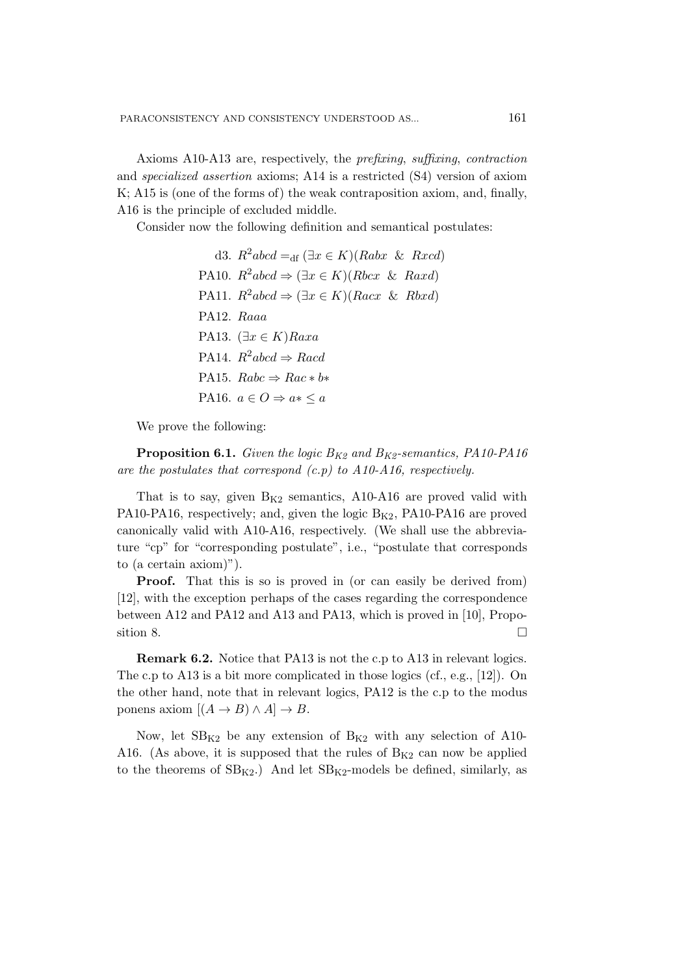Axioms A10-A13 are, respectively, the prefixing, suffixing, contraction and specialized assertion axioms; A14 is a restricted (S4) version of axiom K; A15 is (one of the forms of) the weak contraposition axiom, and, finally, A16 is the principle of excluded middle.

Consider now the following definition and semantical postulates:

d3.  $R^2abcd =_{df} (\exists x \in K)(Rabx \& Rxd)$ PA10.  $R^2abcd \Rightarrow (\exists x \in K)(Rbcx \& Raxd)$ PA11.  $R^2abcd \Rightarrow (\exists x \in K)(Racx \& Rbxd)$ PA12. Raaa PA13.  $(\exists x \in K)$ Raxa PA14.  $R^2abcd \Rightarrow Rad$ PA15.  $Rabc \Rightarrow Rac * b*$ PA16.  $a \in O \Rightarrow a* \leq a$ 

We prove the following:

**Proposition 6.1.** Given the logic  $B_{K2}$  and  $B_{K2}$ -semantics, PA10-PA16 are the postulates that correspond  $(c.p)$  to  $A10-A16$ , respectively.

That is to say, given  $B_{K2}$  semantics, A10-A16 are proved valid with PA10-PA16, respectively; and, given the logic  $B_{K2}$ , PA10-PA16 are proved canonically valid with A10-A16, respectively. (We shall use the abbreviature "cp" for "corresponding postulate", i.e., "postulate that corresponds to (a certain axiom)").

**Proof.** That this is so is proved in (or can easily be derived from) [12], with the exception perhaps of the cases regarding the correspondence between A12 and PA12 and A13 and PA13, which is proved in [10], Proposition 8.  $\Box$ 

Remark 6.2. Notice that PA13 is not the c.p to A13 in relevant logics. The c.p to A13 is a bit more complicated in those logics (cf., e.g., [12]). On the other hand, note that in relevant logics, PA12 is the c.p to the modus ponens axiom  $[(A \rightarrow B) \land A] \rightarrow B$ .

Now, let  $SB_{K2}$  be any extension of  $B_{K2}$  with any selection of A10-A16. (As above, it is supposed that the rules of  $B_{K2}$  can now be applied to the theorems of  $SB_{K2}$ .) And let  $SB_{K2}$ -models be defined, similarly, as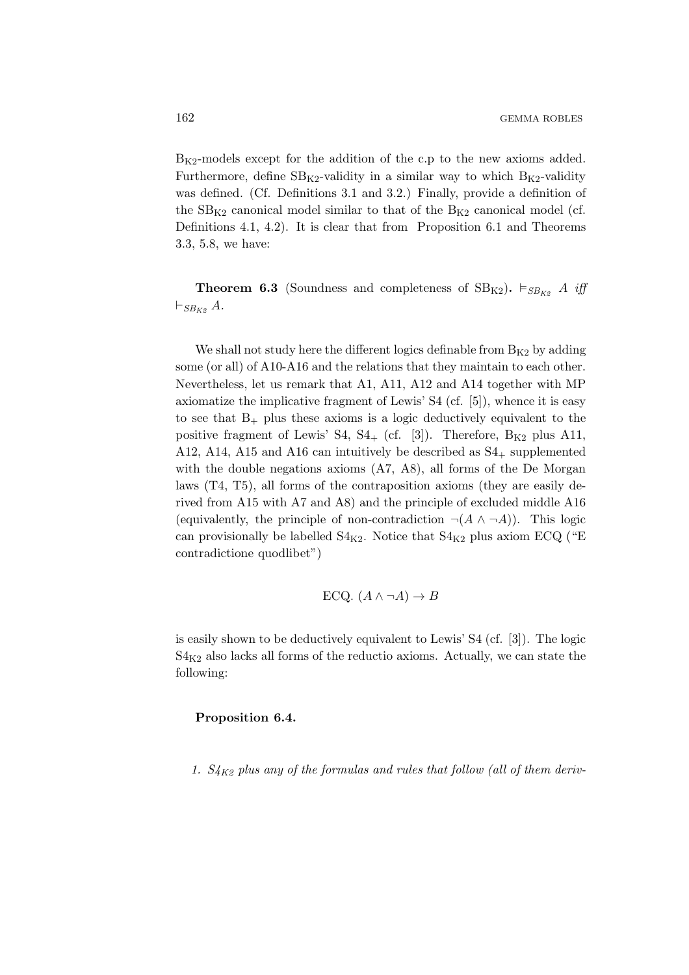$B_{K2}$ -models except for the addition of the c.p to the new axioms added. Furthermore, define  $SB_{K2}$ -validity in a similar way to which  $B_{K2}$ -validity was defined. (Cf. Definitions 3.1 and 3.2.) Finally, provide a definition of the  $SB_{K2}$  canonical model similar to that of the  $B_{K2}$  canonical model (cf. Definitions 4.1, 4.2). It is clear that from Proposition 6.1 and Theorems 3.3, 5.8, we have:

**Theorem 6.3** (Soundness and completeness of  $SB_{K2}$ ).  $\vDash_{SB_{K2}} A$  iff  $\vdash_{SB_{K2}} A$ .

We shall not study here the different logics definable from  $B_{K2}$  by adding some (or all) of A10-A16 and the relations that they maintain to each other. Nevertheless, let us remark that A1, A11, A12 and A14 together with MP axiomatize the implicative fragment of Lewis' S4 (cf. [5]), whence it is easy to see that  $B_+$  plus these axioms is a logic deductively equivalent to the positive fragment of Lewis' S4,  $S4_+$  (cf. [3]). Therefore,  $B_{K2}$  plus A11, A12, A14, A15 and A16 can intuitively be described as  $S4_+$  supplemented with the double negations axioms (A7, A8), all forms of the De Morgan laws (T4, T5), all forms of the contraposition axioms (they are easily derived from A15 with A7 and A8) and the principle of excluded middle A16 (equivalently, the principle of non-contradiction  $\neg(A \land \neg A)$ ). This logic can provisionally be labelled  $S4_{K2}$ . Notice that  $S4_{K2}$  plus axiom ECQ ("E contradictione quodlibet")

ECQ. 
$$
(A \land \neg A) \rightarrow B
$$

is easily shown to be deductively equivalent to Lewis' S4 (cf. [3]). The logic  $S4_{K2}$  also lacks all forms of the reductio axioms. Actually, we can state the following:

#### Proposition 6.4.

1.  $S_{4K2}$  plus any of the formulas and rules that follow (all of them deriv-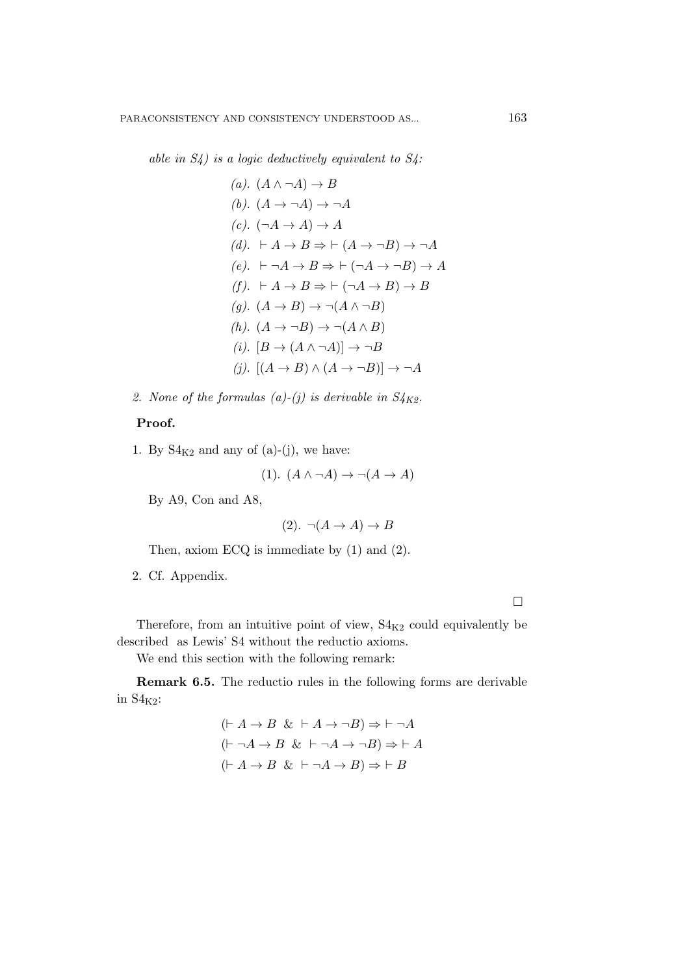able in  $S_4$ ) is a logic deductively equivalent to  $S_4$ :

(a). 
$$
(A \land \neg A) \rightarrow B
$$
  
\n(b).  $(A \rightarrow \neg A) \rightarrow \neg A$   
\n(c).  $(\neg A \rightarrow A) \rightarrow A$   
\n(d).  $\vdash A \rightarrow B \Rightarrow \vdash (A \rightarrow \neg B) \rightarrow \neg A$   
\n(e).  $\vdash \neg A \rightarrow B \Rightarrow \vdash (\neg A \rightarrow \neg B) \rightarrow A$   
\n(f).  $\vdash A \rightarrow B \Rightarrow \vdash (\neg A \rightarrow B) \rightarrow B$   
\n(g).  $(A \rightarrow B) \rightarrow \neg (A \land \neg B)$   
\n(h).  $(A \rightarrow \neg B) \rightarrow \neg (A \land B)$   
\n(i).  $[B \rightarrow (A \land \neg A)] \rightarrow \neg B$   
\n(j).  $[(A \rightarrow B) \land (A \rightarrow \neg B)] \rightarrow \neg A$ 

2. None of the formulas (a)-(j) is derivable in  $S_{4K2}$ .

#### Proof.

1. By  $S4_{K2}$  and any of (a)-(j), we have:

$$
(1). (A \land \neg A) \to \neg (A \to A)
$$

By A9, Con and A8,

$$
(2). \neg(A \to A) \to B
$$

Then, axiom ECQ is immediate by (1) and (2).

2. Cf. Appendix.

 $\Box$ 

Therefore, from an intuitive point of view,  $S4_{K2}$  could equivalently be described as Lewis' S4 without the reductio axioms.

We end this section with the following remark:

Remark 6.5. The reductio rules in the following forms are derivable in  $S4_{K2}$ :

$$
(\vdash A \to B \& \vdash A \to \neg B) \Rightarrow \vdash \neg A
$$

$$
(\vdash \neg A \to B \& \vdash \neg A \to \neg B) \Rightarrow \vdash A
$$

$$
(\vdash A \to B \& \vdash \neg A \to B) \Rightarrow \vdash B
$$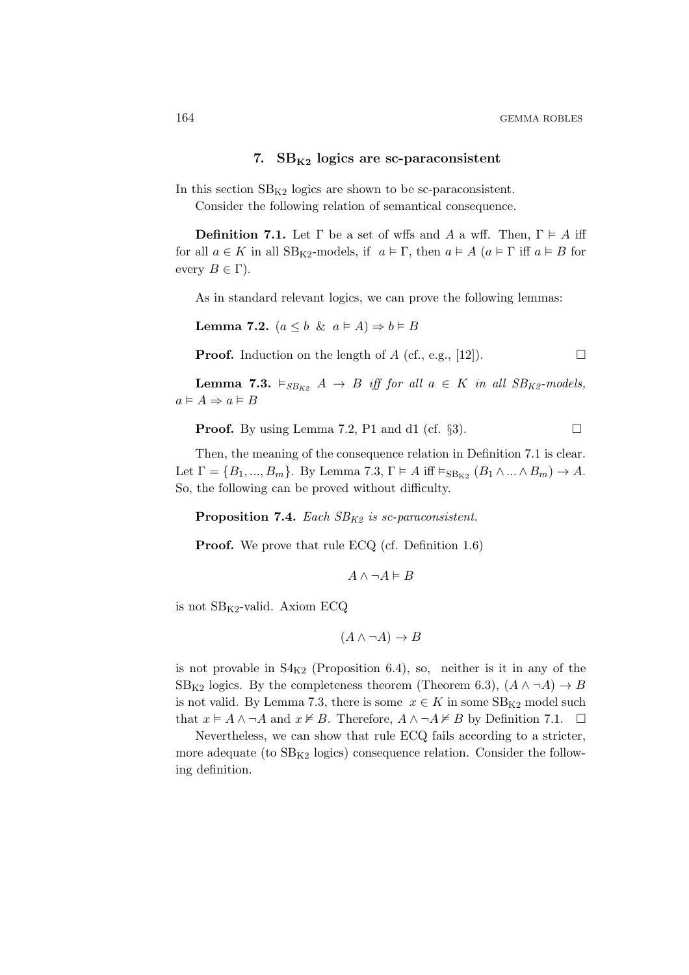#### 7.  $SB_{K2}$  logics are sc-paraconsistent

In this section  $SB_{K2}$  logics are shown to be sc-paraconsistent. Consider the following relation of semantical consequence.

**Definition 7.1.** Let  $\Gamma$  be a set of wffs and A a wff. Then,  $\Gamma \models A$  iff for all  $a \in K$  in all  $SB_{K2}$ -models, if  $a \in \Gamma$ , then  $a \in A$   $(a \in \Gamma$  iff  $a \in B$  for every  $B \in \Gamma$ ).

As in standard relevant logics, we can prove the following lemmas:

Lemma 7.2.  $(a \leq b \And a \models A) \Rightarrow b \models B$ 

**Proof.** Induction on the length of A (cf., e.g., [12]).  $\Box$ 

**Lemma 7.3.**  $\vDash_{SB_{K2}} A \rightarrow B$  iff for all  $a \in K$  in all  $SB_{K2}$ -models,  $a \vDash A \Rightarrow a \vDash B$ 

**Proof.** By using Lemma 7.2, P1 and d1 (cf.  $\S3$ ).

Then, the meaning of the consequence relation in Definition 7.1 is clear. Let  $\Gamma = \{B_1, ..., B_m\}$ . By Lemma 7.3,  $\Gamma \models A$  iff  $\vDash_{\text{SB}_{K2}} (B_1 \land ... \land B_m) \rightarrow A$ . So, the following can be proved without difficulty.

Proposition 7.4. Each  $SB_{K2}$  is sc-paraconsistent.

**Proof.** We prove that rule ECQ (cf. Definition 1.6)

$$
A \land \neg A \vDash B
$$

is not  $SB_{K2}$ -valid. Axiom ECQ

$$
(A \land \neg A) \to B
$$

is not provable in  $S4_{K2}$  (Proposition 6.4), so, neither is it in any of the  $SB_{K2}$  logics. By the completeness theorem (Theorem 6.3),  $(A \land \neg A) \rightarrow B$ is not valid. By Lemma 7.3, there is some  $x \in K$  in some  $SB_{K2}$  model such that  $x \models A \land \neg A$  and  $x \not\models B$ . Therefore,  $A \land \neg A \not\models B$  by Definition 7.1.  $\Box$ 

Nevertheless, we can show that rule ECQ fails according to a stricter, more adequate (to  $SB_{K2}$  logics) consequence relation. Consider the following definition.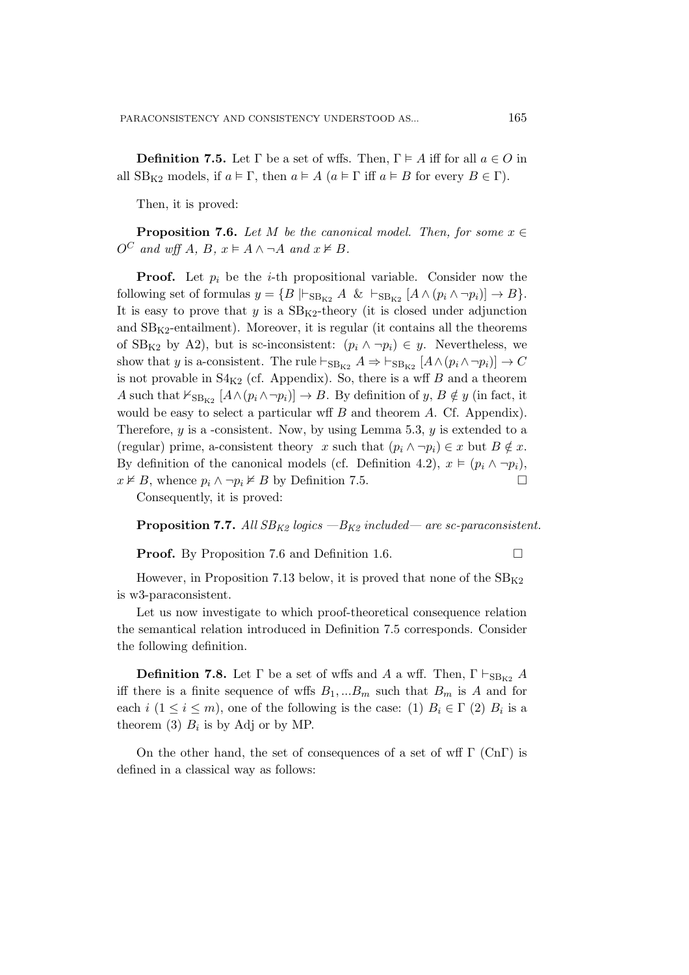**Definition 7.5.** Let  $\Gamma$  be a set of wffs. Then,  $\Gamma \models A$  iff for all  $a \in O$  in all  $SB_{K2}$  models, if  $a \models \Gamma$ , then  $a \models A$   $(a \models \Gamma$  iff  $a \models B$  for every  $B \in \Gamma$ ).

Then, it is proved:

**Proposition 7.6.** Let M be the canonical model. Then, for some  $x \in \mathbb{R}$  $O^C$  and wff A, B,  $x \models A \land \neg A$  and  $x \not\models B$ .

**Proof.** Let  $p_i$  be the *i*-th propositional variable. Consider now the following set of formulas  $y = \{B \mid \vdash_{\text{SB}_{K2}} A \& \vdash_{\text{SB}_{K2}} [A \wedge (p_i \wedge \neg p_i)] \rightarrow B \}.$ It is easy to prove that  $y$  is a  $SB_{K2}$ -theory (it is closed under adjunction and  $SB_{K2}$ -entailment). Moreover, it is regular (it contains all the theorems of SB<sub>K2</sub> by A2), but is sc-inconsistent:  $(p_i \wedge \neg p_i) \in y$ . Nevertheless, we show that y is a-consistent. The rule  $\vdash_{\text{SB}_{K2}} A \Rightarrow \vdash_{\text{SB}_{K2}} [A \wedge (p_i \wedge \neg p_i)] \rightarrow C$ is not provable in  $S4_{K2}$  (cf. Appendix). So, there is a wff B and a theorem A such that  $\forall_{\text{SB}_{K2}} [A \land (p_i \land \neg p_i)] \rightarrow B$ . By definition of  $y, B \notin y$  (in fact, it would be easy to select a particular wff  $B$  and theorem  $A$ . Cf. Appendix). Therefore,  $y$  is a -consistent. Now, by using Lemma 5.3,  $y$  is extended to a (regular) prime, a-consistent theory x such that  $(p_i \wedge \neg p_i) \in x$  but  $B \notin x$ . By definition of the canonical models (cf. Definition 4.2),  $x \vDash (p_i \wedge \neg p_i)$ ,  $x \not\models B$ , whence  $p_i \wedge \neg p_i \not\models B$  by Definition 7.5.

Consequently, it is proved:

**Proposition 7.7.** All  $SB_{K2}$  logics  $-B_{K2}$  included— are sc-paraconsistent.

**Proof.** By Proposition 7.6 and Definition 1.6. □

However, in Proposition 7.13 below, it is proved that none of the  $SB_{K2}$ is w3-paraconsistent.

Let us now investigate to which proof-theoretical consequence relation the semantical relation introduced in Definition 7.5 corresponds. Consider the following definition.

**Definition 7.8.** Let  $\Gamma$  be a set of wffs and A a wff. Then,  $\Gamma \vdash_{\text{SB}_{K2}} A$ iff there is a finite sequence of wffs  $B_1,...B_m$  such that  $B_m$  is A and for each  $i$   $(1 \leq i \leq m)$ , one of the following is the case: (1)  $B_i \in \Gamma$  (2)  $B_i$  is a theorem (3)  $B_i$  is by Adj or by MP.

On the other hand, the set of consequences of a set of wff  $\Gamma$  (Cn $\Gamma$ ) is defined in a classical way as follows: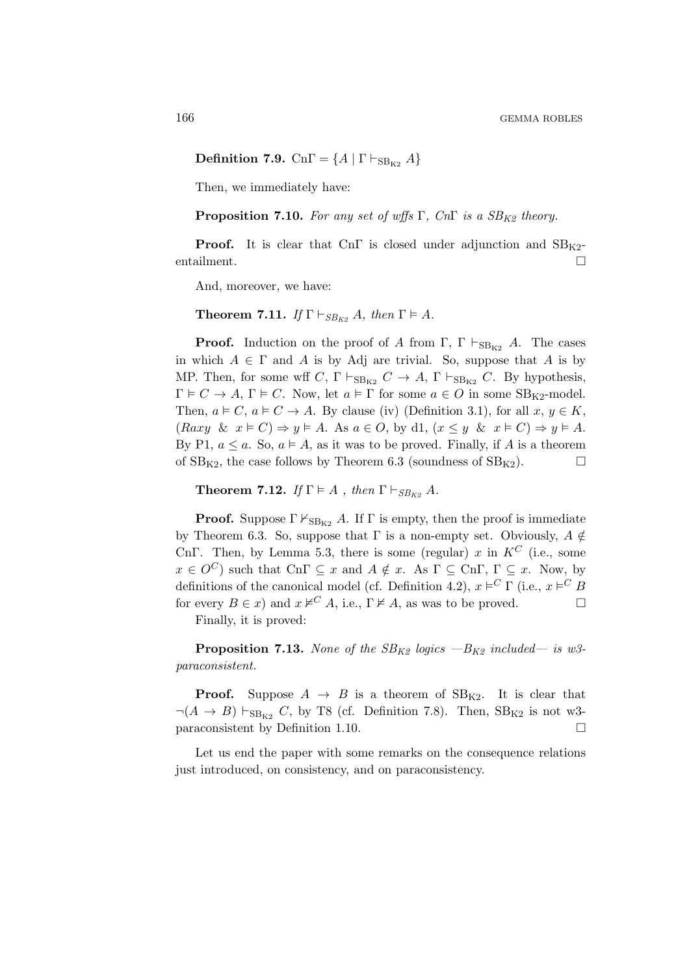Definition 7.9. Cn $\Gamma = \{A \mid \Gamma \vdash_{\text{SB}_{K2}} A\}$ 

Then, we immediately have:

**Proposition 7.10.** For any set of wffs Γ, CnΓ is a  $SB_{K2}$  theory.

**Proof.** It is clear that CnΓ is closed under adjunction and  $SB_{K2}$ entailment.

And, moreover, we have:

**Theorem 7.11.** If  $\Gamma \vdash_{SB_{K^o}} A$ , then  $\Gamma \models A$ .

**Proof.** Induction on the proof of A from Γ,  $\Gamma \vdash_{SB_{K2}} A$ . The cases in which  $A \in \Gamma$  and A is by Adj are trivial. So, suppose that A is by MP. Then, for some wff C,  $\Gamma \vdash_{SB_{K2}} C \to A$ ,  $\Gamma \vdash_{SB_{K2}} C$ . By hypothesis,  $\Gamma \models C \to A, \Gamma \models C$ . Now, let  $a \models \Gamma$  for some  $a \in O$  in some SB<sub>K2</sub>-model. Then,  $a \models C$ ,  $a \models C \rightarrow A$ . By clause (iv) (Definition 3.1), for all  $x, y \in K$ ,  $(Raxy \& x \models C) \Rightarrow y \models A$ . As  $a \in O$ , by d1,  $(x \leq y \& x \models C) \Rightarrow y \models A$ . By P1,  $a \le a$ . So,  $a \models A$ , as it was to be proved. Finally, if A is a theorem of  $SB_{K2}$ , the case follows by Theorem 6.3 (soundness of  $SB_{K2}$ ).

**Theorem 7.12.** If  $\Gamma \models A$ , then  $\Gamma \vdash_{SB_{K9}} A$ .

**Proof.** Suppose  $\Gamma \nvDash_{SB_{K2}} A$ . If  $\Gamma$  is empty, then the proof is immediate by Theorem 6.3. So, suppose that  $\Gamma$  is a non-empty set. Obviously,  $A \notin$ CnΓ. Then, by Lemma 5.3, there is some (regular) x in  $K^C$  (i.e., some  $x \in O^C$  such that  $\text{Cn}\Gamma \subseteq x$  and  $A \notin x$ . As  $\Gamma \subseteq \text{Cn}\Gamma$ ,  $\Gamma \subseteq x$ . Now, by definitions of the canonical model (cf. Definition 4.2),  $x \models^C \Gamma$  (i.e.,  $x \models^C B$ for every  $B \in x$ ) and  $x \nvDash^C A$ , i.e.,  $\Gamma \nvDash A$ , as was to be proved.

Finally, it is proved:

**Proposition 7.13.** None of the  $SB_{K2}$  logics  $-B_{K2}$  included— is w3paraconsistent.

**Proof.** Suppose  $A \rightarrow B$  is a theorem of  $SB_{K2}$ . It is clear that  $\neg(A \rightarrow B) \vdash_{SB_{K2}} C$ , by T8 (cf. Definition 7.8). Then,  $SB_{K2}$  is not w3paraconsistent by Definition 1.10.

Let us end the paper with some remarks on the consequence relations just introduced, on consistency, and on paraconsistency.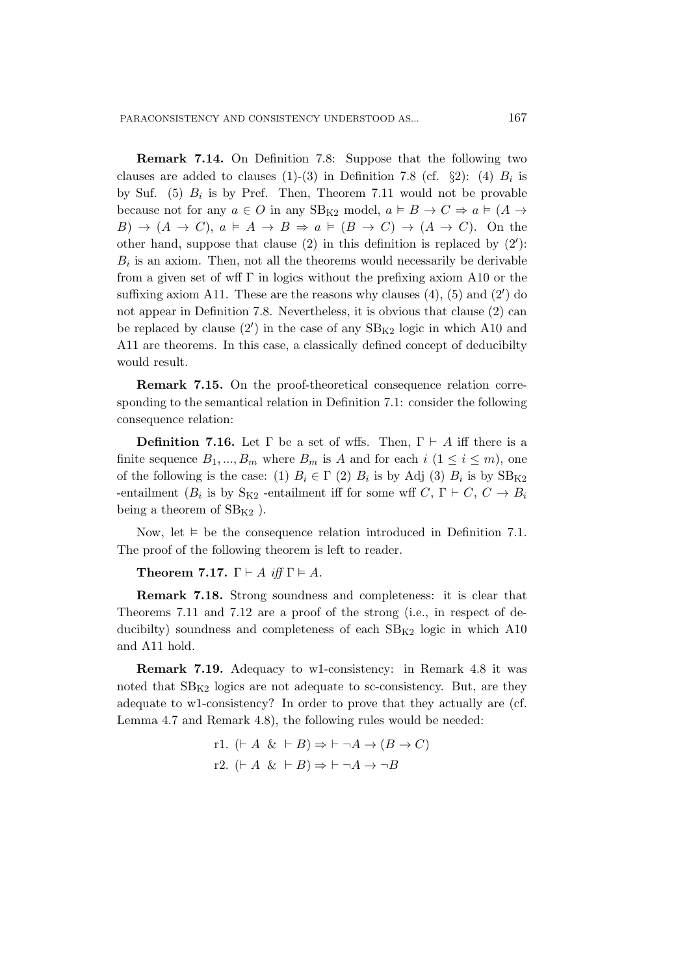Remark 7.14. On Definition 7.8: Suppose that the following two clauses are added to clauses (1)-(3) in Definition 7.8 (cf.  $\S2$ ): (4)  $B_i$  is by Suf.  $(5)$   $B_i$  is by Pref. Then, Theorem 7.11 would not be provable because not for any  $a \in O$  in any  $SB_{K2}$  model,  $a \models B \rightarrow C \Rightarrow a \models (A \rightarrow$  $B) \rightarrow (A \rightarrow C), a \models A \rightarrow B \Rightarrow a \models (B \rightarrow C) \rightarrow (A \rightarrow C).$  On the other hand, suppose that clause (2) in this definition is replaced by (2′ ):  $B_i$  is an axiom. Then, not all the theorems would necessarily be derivable from a given set of wff  $\Gamma$  in logics without the prefixing axiom A10 or the suffixing axiom A11. These are the reasons why clauses  $(4)$ ,  $(5)$  and  $(2')$  do not appear in Definition 7.8. Nevertheless, it is obvious that clause (2) can be replaced by clause  $(2')$  in the case of any  $SB_{K2}$  logic in which A10 and A11 are theorems. In this case, a classically defined concept of deducibilty would result.

Remark 7.15. On the proof-theoretical consequence relation corresponding to the semantical relation in Definition 7.1: consider the following consequence relation:

**Definition 7.16.** Let  $\Gamma$  be a set of wffs. Then,  $\Gamma \vdash A$  iff there is a finite sequence  $B_1, ..., B_m$  where  $B_m$  is A and for each  $i \ (1 \leq i \leq m)$ , one of the following is the case: (1)  $B_i \in \Gamma$  (2)  $B_i$  is by Adj (3)  $B_i$  is by  $SB_{K2}$ -entailment ( $B_i$  is by  $S_{K2}$  -entailment iff for some wff  $C, \Gamma \vdash C, C \rightarrow B_i$ being a theorem of  $SB_{K2}$ ).

Now, let  $\models$  be the consequence relation introduced in Definition 7.1. The proof of the following theorem is left to reader.

Theorem 7.17.  $\Gamma \vdash A$  iff  $\Gamma \models A$ .

Remark 7.18. Strong soundness and completeness: it is clear that Theorems 7.11 and 7.12 are a proof of the strong (i.e., in respect of deducibilty) soundness and completeness of each  $SB_{K2}$  logic in which A10 and A11 hold.

Remark 7.19. Adequacy to w1-consistency: in Remark 4.8 it was noted that  $SB_{K2}$  logics are not adequate to sc-consistency. But, are they adequate to w1-consistency? In order to prove that they actually are (cf. Lemma 4.7 and Remark 4.8), the following rules would be needed:

> r1.  $(F A \& F B) \Rightarrow F \neg A \rightarrow (B \rightarrow C)$ r2.  $(F A \& F B) \Rightarrow F \neg A \rightarrow \neg B$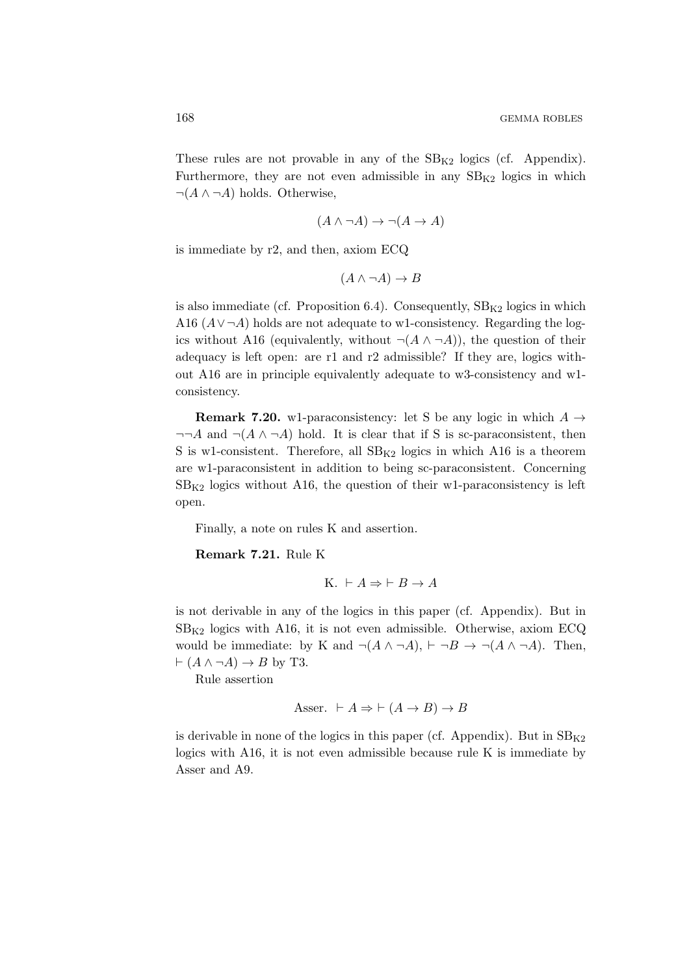These rules are not provable in any of the  $SB_{K2}$  logics (cf. Appendix). Furthermore, they are not even admissible in any  $SB_{K2}$  logics in which  $\neg(A \land \neg A)$  holds. Otherwise,

$$
(A \land \neg A) \to \neg(A \to A)
$$

is immediate by r2, and then, axiom ECQ

$$
(A \land \neg A) \to B
$$

is also immediate (cf. Proposition 6.4). Consequently,  $SB_{K2}$  logics in which A16  $(A \vee \neg A)$  holds are not adequate to w1-consistency. Regarding the logics without A16 (equivalently, without  $\neg(A \land \neg A)$ ), the question of their adequacy is left open: are r1 and r2 admissible? If they are, logics without A16 are in principle equivalently adequate to w3-consistency and w1 consistency.

**Remark 7.20.** w1-paraconsistency: let S be any logic in which  $A \rightarrow$  $\neg\neg A$  and  $\neg(A \land \neg A)$  hold. It is clear that if S is sc-paraconsistent, then S is w1-consistent. Therefore, all  $SB_{K2}$  logics in which A16 is a theorem are w1-paraconsistent in addition to being sc-paraconsistent. Concerning  $SB_{K2}$  logics without A16, the question of their w1-paraconsistency is left open.

Finally, a note on rules K and assertion.

Remark 7.21. Rule K

K. 
$$
\vdash A \Rightarrow \vdash B \to A
$$

is not derivable in any of the logics in this paper (cf. Appendix). But in  $SB_{K2}$  logics with A16, it is not even admissible. Otherwise, axiom ECQ would be immediate: by K and  $\neg(A \land \neg A)$ ,  $\vdash \neg B \rightarrow \neg(A \land \neg A)$ . Then,  $\vdash (A \land \neg A) \rightarrow B$  by T3.

Rule assertion

$$
\:text{Asser.} \ \vdash A \Rightarrow \vdash (A \to B) \to B
$$

is derivable in none of the logics in this paper (cf. Appendix). But in  $SB_{K2}$ logics with A16, it is not even admissible because rule K is immediate by Asser and A9.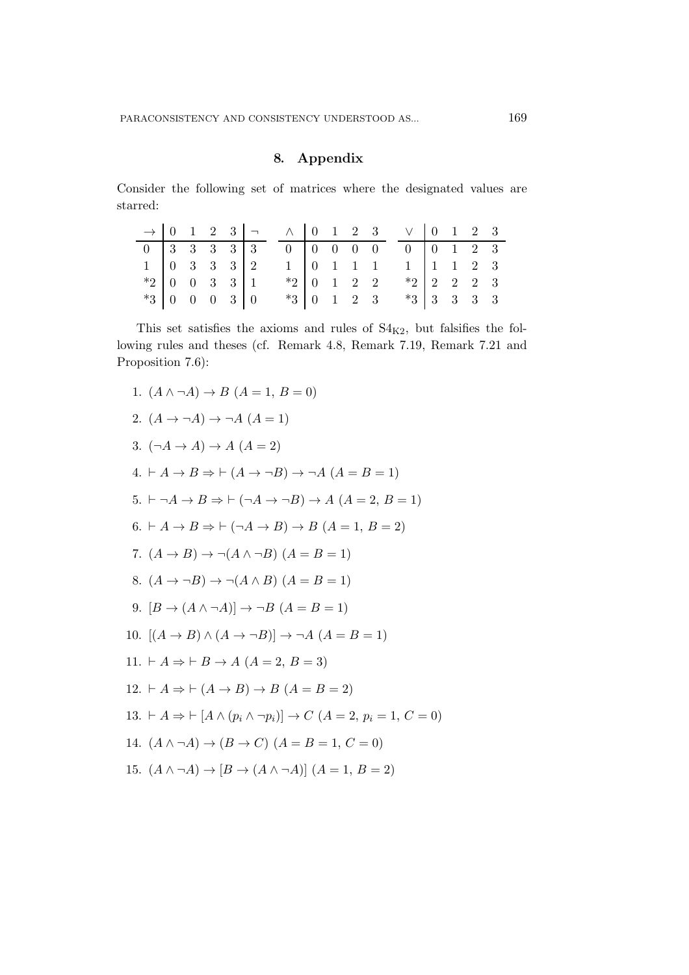#### 8. Appendix

Consider the following set of matrices where the designated values are starred:

|                |  |  |                | $\rightarrow$ 0 1 2 3 $\rightarrow$ 0 1 2 3 $\vee$ 0 1 2 3 |  |  |                           |  |  |
|----------------|--|--|----------------|------------------------------------------------------------|--|--|---------------------------|--|--|
|                |  |  |                |                                                            |  |  |                           |  |  |
|                |  |  |                |                                                            |  |  |                           |  |  |
|                |  |  | $*2$ 0 0 3 3 1 |                                                            |  |  | $*2$ 0 1 2 2 $*2$ 2 2 3   |  |  |
| $*3$ 0 0 0 3 0 |  |  |                |                                                            |  |  | $*3$ 0 1 2 3 $*3$ 3 3 3 3 |  |  |

This set satisfies the axioms and rules of  $S4_{K2}$ , but falsifies the following rules and theses (cf. Remark 4.8, Remark 7.19, Remark 7.21 and Proposition 7.6):

1.  $(A \wedge \neg A) \rightarrow B (A = 1, B = 0)$ 2.  $(A \rightarrow \neg A) \rightarrow \neg A (A = 1)$ 3.  $(\neg A \rightarrow A) \rightarrow A (A = 2)$ 4.  $\vdash A \to B \Rightarrow \vdash (A \to \neg B) \to \neg A \ (A = B = 1)$ 5.  $\vdash \neg A \rightarrow B \Rightarrow \vdash (\neg A \rightarrow \neg B) \rightarrow A \ (A = 2, B = 1)$  $6. \vdash A \rightarrow B \Rightarrow \vdash (\neg A \rightarrow B) \rightarrow B \ (A = 1, B = 2)$ 7.  $(A \rightarrow B) \rightarrow \neg(A \land \neg B)$   $(A = B = 1)$ 8.  $(A \rightarrow \neg B) \rightarrow \neg (A \land B)$   $(A = B = 1)$ 9.  $[B \to (A \land \neg A)] \to \neg B (A = B = 1)$ 10.  $[(A \rightarrow B) \land (A \rightarrow \neg B)] \rightarrow \neg A (A = B = 1)$ 11.  $\vdash A \Rightarrow \vdash B \rightarrow A \ (A = 2, B = 3)$ 12.  $\vdash A \Rightarrow \vdash (A \rightarrow B) \rightarrow B (A = B = 2)$ 13. ⊢  $A \Rightarrow \vdash [A \land (p_i \land \neg p_i)] \rightarrow C \ (A = 2, p_i = 1, C = 0)$ 14.  $(A \wedge \neg A) \rightarrow (B \rightarrow C)$   $(A = B = 1, C = 0)$ 15.  $(A \wedge \neg A) \rightarrow [B \rightarrow (A \wedge \neg A)] (A = 1, B = 2)$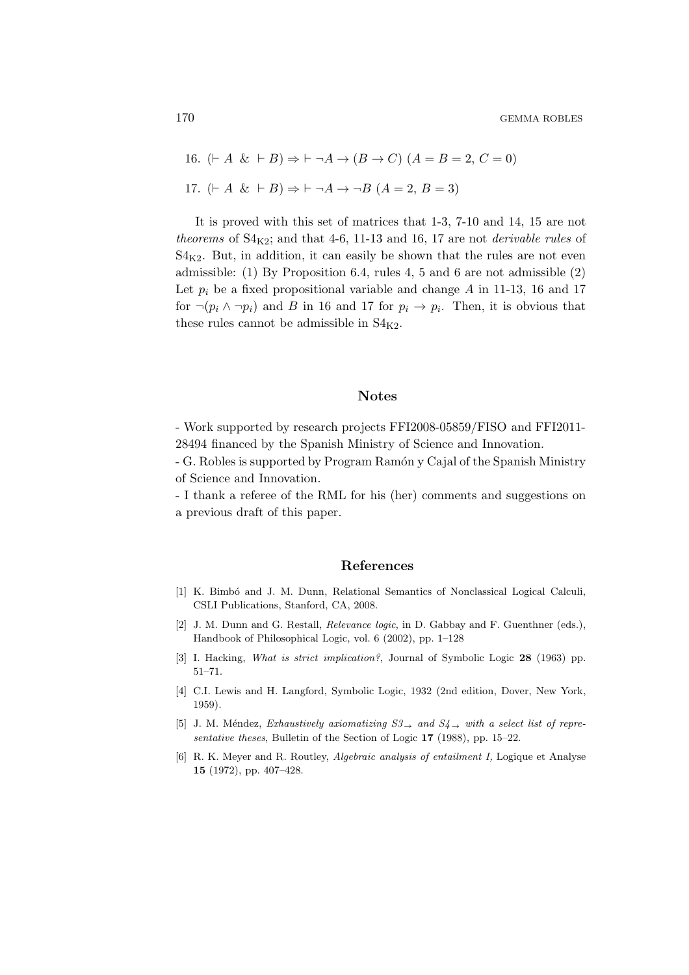16.  $(F A \& F B) \Rightarrow F \neg A \rightarrow (B \rightarrow C) (A = B = 2, C = 0)$ 17.  $(A \& B) \Rightarrow \vdash \neg A \rightarrow \neg B (A = 2, B = 3)$ 

It is proved with this set of matrices that 1-3, 7-10 and 14, 15 are not theorems of  $S4_{K2}$ ; and that 4-6, 11-13 and 16, 17 are not *derivable rules* of  $S4_{K2}$ . But, in addition, it can easily be shown that the rules are not even admissible: (1) By Proposition 6.4, rules 4, 5 and 6 are not admissible (2) Let  $p_i$  be a fixed propositional variable and change A in 11-13, 16 and 17 for  $\neg(p_i \land \neg p_i)$  and B in 16 and 17 for  $p_i \to p_i$ . Then, it is obvious that these rules cannot be admissible in  $S4_{K2}$ .

#### .Notes

- Work supported by research projects FFI2008-05859/FISO and FFI2011- 28494 financed by the Spanish Ministry of Science and Innovation.

- G. Robles is supported by Program Ramón y Cajal of the Spanish Ministry of Science and Innovation.

- I thank a referee of the RML for his (her) comments and suggestions on a previous draft of this paper.

#### .References

- [1] K. Bimbó and J. M. Dunn, Relational Semantics of Nonclassical Logical Calculi, CSLI Publications, Stanford, CA, 2008.
- [2] J. M. Dunn and G. Restall, Relevance logic, in D. Gabbay and F. Guenthner (eds.), Handbook of Philosophical Logic, vol. 6 (2002), pp. 1–128
- [3] I. Hacking, What is strict implication?, Journal of Symbolic Logic 28 (1963) pp. 51–71.
- [4] C.I. Lewis and H. Langford, Symbolic Logic, 1932 (2nd edition, Dover, New York, 1959).
- [5] J. M. Méndez, Exhaustively axiomatizing  $S3_{\rightarrow}$  and  $S4_{\rightarrow}$  with a select list of representative theses, Bulletin of the Section of Logic 17 (1988), pp. 15–22.
- [6] R. K. Meyer and R. Routley, Algebraic analysis of entailment I, Logique et Analyse 15 (1972), pp. 407–428.